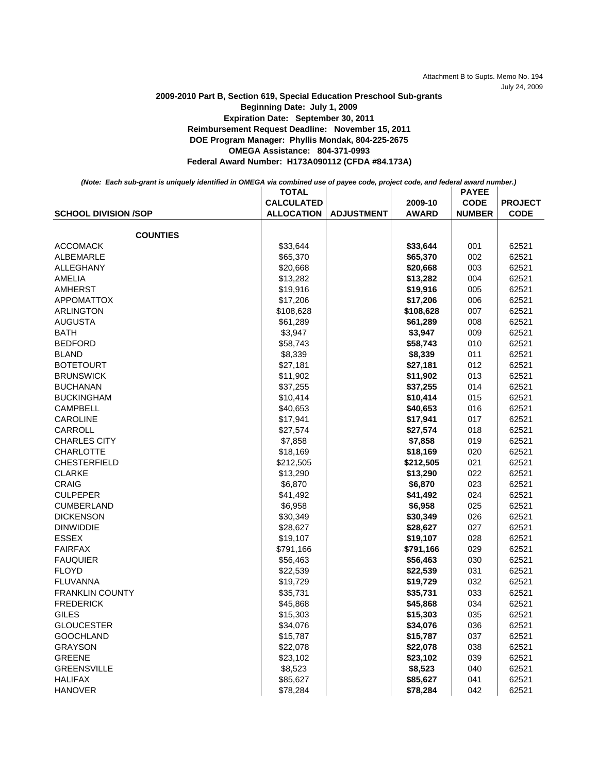Attachment B to Supts. Memo No. 194 July 24, 2009

## **Federal Award Number: H173A090112 (CFDA #84.173A) Expiration Date: September 30, 2011 Reimbursement Request Deadline: November 15, 2011 DOE Program Manager: Phyllis Mondak, 804-225-2675 OMEGA Assistance: 804-371-0993 2009-2010 Part B, Section 619, Special Education Preschool Sub-grants Beginning Date: July 1, 2009**

| (Note: Each sub-grant is uniquely identified in OMEGA via combined use of payee code, project code, and federal award number.) |                   |                   |                         |                                              |                               |
|--------------------------------------------------------------------------------------------------------------------------------|-------------------|-------------------|-------------------------|----------------------------------------------|-------------------------------|
|                                                                                                                                | <b>TOTAL</b>      | <b>ADJUSTMENT</b> |                         | <b>PAYEE</b><br><b>CODE</b><br><b>NUMBER</b> | <b>PROJECT</b><br><b>CODE</b> |
| <b>SCHOOL DIVISION /SOP</b>                                                                                                    | <b>CALCULATED</b> |                   | 2009-10<br><b>AWARD</b> |                                              |                               |
|                                                                                                                                | <b>ALLOCATION</b> |                   |                         |                                              |                               |
|                                                                                                                                |                   |                   |                         |                                              |                               |
| <b>COUNTIES</b>                                                                                                                |                   |                   |                         |                                              |                               |
| ACCOMACK                                                                                                                       | \$33.644          |                   | \$33.644                | 001                                          | 62521                         |
| ALBEMARLE                                                                                                                      | \$65,370          |                   | \$65,370                | 002                                          | 62521                         |
| ALLEGHANY                                                                                                                      | \$20,668          |                   | \$20,668                | 003                                          | 62521                         |
| AMELIA                                                                                                                         | <b>413 282</b>    |                   | \$13.282                | <b>NOV</b>                                   | 62521                         |

| ALBEMARLE              | \$65,370  | \$65,370  | 002 | 62521 |
|------------------------|-----------|-----------|-----|-------|
| <b>ALLEGHANY</b>       | \$20,668  | \$20,668  | 003 | 62521 |
| <b>AMELIA</b>          | \$13,282  | \$13,282  | 004 | 62521 |
| <b>AMHERST</b>         | \$19,916  | \$19,916  | 005 | 62521 |
| <b>APPOMATTOX</b>      | \$17,206  | \$17,206  | 006 | 62521 |
| <b>ARLINGTON</b>       | \$108,628 | \$108,628 | 007 | 62521 |
| <b>AUGUSTA</b>         | \$61,289  | \$61,289  | 008 | 62521 |
| <b>BATH</b>            | \$3,947   | \$3,947   | 009 | 62521 |
| <b>BEDFORD</b>         | \$58,743  | \$58,743  | 010 | 62521 |
| <b>BLAND</b>           | \$8,339   | \$8,339   | 011 | 62521 |
| <b>BOTETOURT</b>       | \$27,181  | \$27,181  | 012 | 62521 |
| <b>BRUNSWICK</b>       | \$11,902  | \$11,902  | 013 | 62521 |
| <b>BUCHANAN</b>        | \$37,255  | \$37,255  | 014 | 62521 |
| <b>BUCKINGHAM</b>      | \$10,414  | \$10,414  | 015 | 62521 |
| <b>CAMPBELL</b>        | \$40,653  | \$40,653  | 016 | 62521 |
| <b>CAROLINE</b>        | \$17,941  | \$17,941  | 017 | 62521 |
| CARROLL                | \$27,574  | \$27,574  | 018 | 62521 |
| <b>CHARLES CITY</b>    | \$7,858   | \$7,858   | 019 | 62521 |
| <b>CHARLOTTE</b>       | \$18,169  | \$18,169  | 020 | 62521 |
| <b>CHESTERFIELD</b>    | \$212,505 | \$212,505 | 021 | 62521 |
| <b>CLARKE</b>          | \$13,290  | \$13,290  | 022 | 62521 |
| <b>CRAIG</b>           | \$6,870   | \$6,870   | 023 | 62521 |
| <b>CULPEPER</b>        | \$41,492  | \$41,492  | 024 | 62521 |
| <b>CUMBERLAND</b>      | \$6,958   | \$6,958   | 025 | 62521 |
| <b>DICKENSON</b>       | \$30,349  | \$30,349  | 026 | 62521 |
| <b>DINWIDDIE</b>       | \$28,627  | \$28,627  | 027 | 62521 |
| <b>ESSEX</b>           | \$19,107  | \$19,107  | 028 | 62521 |
| <b>FAIRFAX</b>         | \$791,166 | \$791,166 | 029 | 62521 |
| <b>FAUQUIER</b>        | \$56,463  | \$56,463  | 030 | 62521 |
| <b>FLOYD</b>           | \$22,539  | \$22,539  | 031 | 62521 |
| <b>FLUVANNA</b>        | \$19,729  | \$19,729  | 032 | 62521 |
| <b>FRANKLIN COUNTY</b> | \$35,731  | \$35,731  | 033 | 62521 |
| <b>FREDERICK</b>       | \$45,868  | \$45,868  | 034 | 62521 |
| <b>GILES</b>           | \$15,303  | \$15,303  | 035 | 62521 |
| <b>GLOUCESTER</b>      | \$34,076  | \$34,076  | 036 | 62521 |
| <b>GOOCHLAND</b>       | \$15,787  | \$15,787  | 037 | 62521 |
| <b>GRAYSON</b>         | \$22,078  | \$22,078  | 038 | 62521 |
| <b>GREENE</b>          | \$23,102  | \$23,102  | 039 | 62521 |
| <b>GREENSVILLE</b>     | \$8,523   | \$8,523   | 040 | 62521 |
| <b>HALIFAX</b>         | \$85,627  | \$85,627  | 041 | 62521 |
| <b>HANOVER</b>         | \$78,284  | \$78,284  | 042 | 62521 |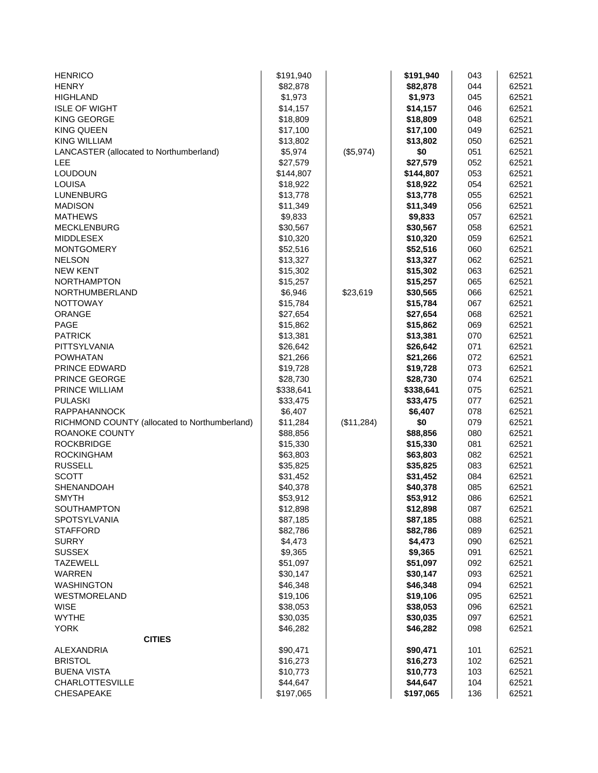| <b>HENRICO</b>                                | \$191,940 |            | \$191,940 | 043 | 62521 |
|-----------------------------------------------|-----------|------------|-----------|-----|-------|
| <b>HENRY</b>                                  | \$82,878  |            | \$82,878  | 044 | 62521 |
| <b>HIGHLAND</b>                               | \$1,973   |            | \$1,973   | 045 | 62521 |
| <b>ISLE OF WIGHT</b>                          | \$14,157  |            | \$14,157  | 046 | 62521 |
| <b>KING GEORGE</b>                            | \$18,809  |            | \$18,809  | 048 | 62521 |
| <b>KING QUEEN</b>                             | \$17,100  |            | \$17,100  | 049 | 62521 |
| <b>KING WILLIAM</b>                           | \$13,802  |            | \$13,802  | 050 | 62521 |
| LANCASTER (allocated to Northumberland)       | \$5,974   | (\$5,974)  | \$0       | 051 | 62521 |
| LEE                                           | \$27,579  |            | \$27,579  | 052 | 62521 |
| <b>LOUDOUN</b>                                | \$144,807 |            | \$144,807 | 053 | 62521 |
| <b>LOUISA</b>                                 | \$18,922  |            | \$18,922  | 054 | 62521 |
| <b>LUNENBURG</b>                              | \$13,778  |            | \$13,778  | 055 | 62521 |
| <b>MADISON</b>                                | \$11,349  |            | \$11,349  | 056 | 62521 |
| <b>MATHEWS</b>                                | \$9,833   |            | \$9,833   | 057 | 62521 |
| <b>MECKLENBURG</b>                            | \$30,567  |            | \$30,567  | 058 | 62521 |
| <b>MIDDLESEX</b>                              | \$10,320  |            | \$10,320  | 059 | 62521 |
| <b>MONTGOMERY</b>                             | \$52,516  |            | \$52,516  | 060 | 62521 |
| <b>NELSON</b>                                 | \$13,327  |            | \$13,327  | 062 | 62521 |
| <b>NEW KENT</b>                               | \$15,302  |            | \$15,302  | 063 | 62521 |
| <b>NORTHAMPTON</b>                            | \$15,257  |            | \$15,257  | 065 | 62521 |
| NORTHUMBERLAND                                | \$6,946   | \$23,619   | \$30,565  | 066 | 62521 |
| <b>NOTTOWAY</b>                               | \$15,784  |            | \$15,784  | 067 | 62521 |
| <b>ORANGE</b>                                 | \$27,654  |            | \$27,654  | 068 | 62521 |
| <b>PAGE</b>                                   | \$15,862  |            | \$15,862  | 069 | 62521 |
| <b>PATRICK</b>                                | \$13,381  |            | \$13,381  | 070 | 62521 |
| PITTSYLVANIA                                  | \$26,642  |            | \$26,642  | 071 | 62521 |
| <b>POWHATAN</b>                               | \$21,266  |            | \$21,266  | 072 | 62521 |
| PRINCE EDWARD                                 | \$19,728  |            | \$19,728  | 073 | 62521 |
| PRINCE GEORGE                                 | \$28,730  |            | \$28,730  | 074 | 62521 |
| PRINCE WILLIAM                                | \$338,641 |            | \$338,641 | 075 | 62521 |
| <b>PULASKI</b>                                | \$33,475  |            | \$33,475  | 077 | 62521 |
| <b>RAPPAHANNOCK</b>                           | \$6,407   |            | \$6,407   | 078 | 62521 |
| RICHMOND COUNTY (allocated to Northumberland) | \$11,284  | (\$11,284) | \$0       | 079 | 62521 |
| ROANOKE COUNTY                                | \$88,856  |            | \$88,856  | 080 | 62521 |
| <b>ROCKBRIDGE</b>                             | \$15,330  |            | \$15,330  | 081 | 62521 |
| <b>ROCKINGHAM</b>                             | \$63,803  |            | \$63,803  | 082 | 62521 |
| <b>RUSSELL</b>                                | \$35,825  |            | \$35,825  | 083 | 62521 |
| <b>SCOTT</b>                                  | \$31,452  |            | \$31,452  | 084 | 62521 |
| SHENANDOAH                                    | \$40,378  |            | \$40,378  | 085 | 62521 |
| <b>SMYTH</b>                                  | \$53,912  |            | \$53,912  | 086 | 62521 |
| SOUTHAMPTON                                   | \$12,898  |            | \$12,898  | 087 | 62521 |
| <b>SPOTSYLVANIA</b>                           | \$87,185  |            | \$87,185  | 088 | 62521 |
| <b>STAFFORD</b>                               | \$82,786  |            | \$82,786  | 089 | 62521 |
| <b>SURRY</b>                                  | \$4,473   |            | \$4,473   | 090 | 62521 |
| <b>SUSSEX</b>                                 | \$9,365   |            | \$9,365   | 091 | 62521 |
| <b>TAZEWELL</b>                               | \$51,097  |            | \$51,097  | 092 | 62521 |
| <b>WARREN</b>                                 | \$30,147  |            | \$30,147  | 093 | 62521 |
| <b>WASHINGTON</b>                             | \$46,348  |            | \$46,348  | 094 | 62521 |
| WESTMORELAND                                  | \$19,106  |            | \$19,106  | 095 | 62521 |
| <b>WISE</b>                                   | \$38,053  |            | \$38,053  | 096 | 62521 |
| <b>WYTHE</b>                                  | \$30,035  |            | \$30,035  | 097 | 62521 |
| <b>YORK</b>                                   | \$46,282  |            | \$46,282  | 098 | 62521 |
| <b>CITIES</b>                                 |           |            |           |     |       |
| ALEXANDRIA                                    | \$90,471  |            | \$90,471  | 101 | 62521 |
| <b>BRISTOL</b>                                | \$16,273  |            | \$16,273  | 102 | 62521 |
| <b>BUENA VISTA</b>                            | \$10,773  |            | \$10,773  | 103 | 62521 |
| <b>CHARLOTTESVILLE</b>                        | \$44,647  |            | \$44,647  | 104 | 62521 |
| CHESAPEAKE                                    | \$197,065 |            | \$197,065 | 136 | 62521 |